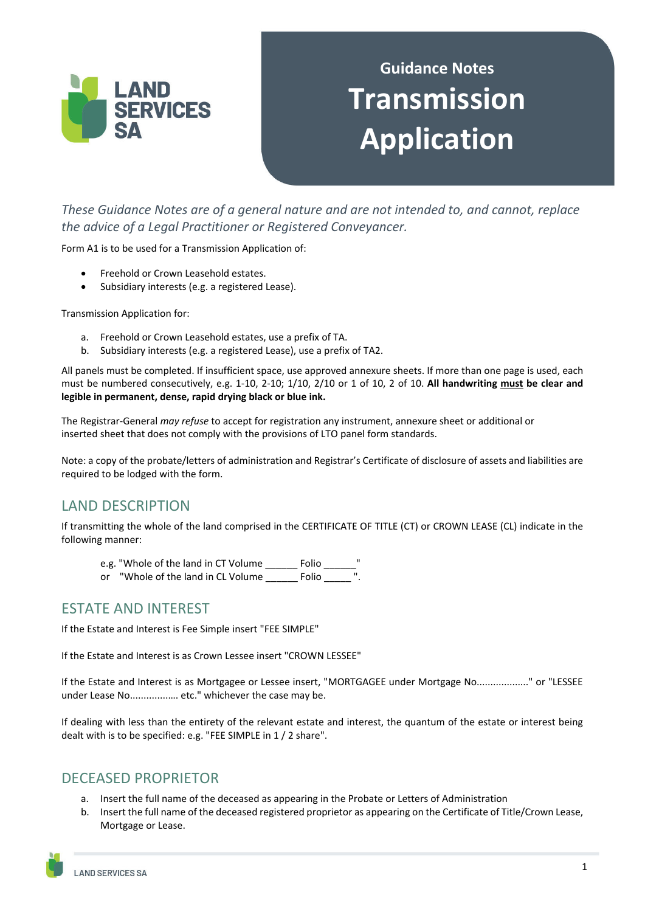

# **Guidance Notes Transmission Application**

*These Guidance Notes are of a general nature and are not intended to, and cannot, replace the advice of a Legal Practitioner or Registered Conveyancer.* 

Form A1 is to be used for a Transmission Application of:

- Freehold or Crown Leasehold estates.
- Subsidiary interests (e.g. a registered Lease).

Transmission Application for:

- a. Freehold or Crown Leasehold estates, use a prefix of TA.
- b. Subsidiary interests (e.g. a registered Lease), use a prefix of TA2.

All panels must be completed. If insufficient space, use approved annexure sheets. If more than one page is used, each must be numbered consecutively, e.g. 1-10, 2-10; 1/10, 2/10 or 1 of 10, 2 of 10. **All handwriting must be clear and legible in permanent, dense, rapid drying black or blue ink.** 

The Registrar-General *may refuse* to accept for registration any instrument, annexure sheet or additional or inserted sheet that does not comply with the provisions of LTO panel form standards.

Note: a copy of the probate/letters of administration and Registrar's Certificate of disclosure of assets and liabilities are required to be lodged with the form.

### LAND DESCRIPTION

If transmitting the whole of the land comprised in the CERTIFICATE OF TITLE (CT) or CROWN LEASE (CL) indicate in the following manner:

- e.g. "Whole of the land in CT Volume Folio
- or "Whole of the land in CL Volume Folio

#### ESTATE AND INTEREST

If the Estate and Interest is Fee Simple insert "FEE SIMPLE"

If the Estate and Interest is as Crown Lessee insert "CROWN LESSEE"

If the Estate and Interest is as Mortgagee or Lessee insert, "MORTGAGEE under Mortgage No..................." or "LESSEE under Lease No..............…. etc." whichever the case may be.

If dealing with less than the entirety of the relevant estate and interest, the quantum of the estate or interest being dealt with is to be specified: e.g. "FEE SIMPLE in 1 / 2 share".

#### DECEASED PROPRIETOR

- a. Insert the full name of the deceased as appearing in the Probate or Letters of Administration
- b. Insert the full name of the deceased registered proprietor as appearing on the Certificate of Title/Crown Lease, Mortgage or Lease.